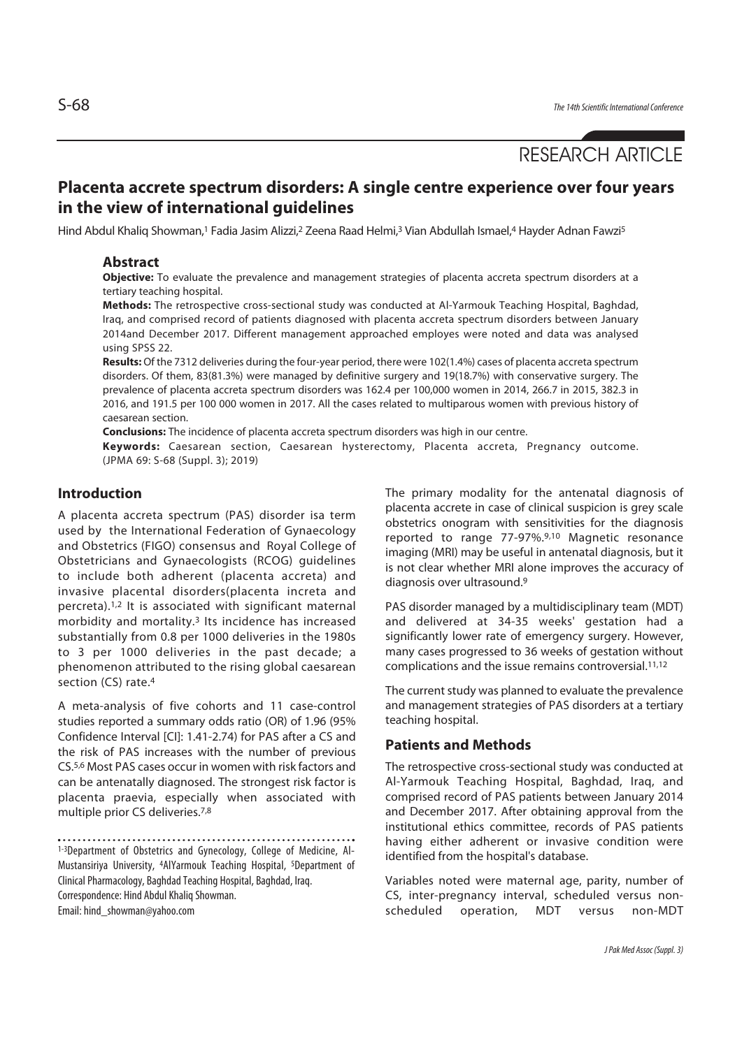# RESEARCH ARTICLE

## **Placenta accrete spectrum disorders: A single centre experience over four years in the view of international guidelines**

Hind Abdul Khalig Showman,<sup>1</sup> Fadia Jasim Alizzi,<sup>2</sup> Zeena Raad Helmi,<sup>3</sup> Vian Abdullah Ismael,<sup>4</sup> Hayder Adnan Fawzi<sup>5</sup>

#### **Abstract**

**Objective:** To evaluate the prevalence and management strategies of placenta accreta spectrum disorders at a tertiary teaching hospital.

**Methods:** The retrospective cross-sectional study was conducted at Al-Yarmouk Teaching Hospital, Baghdad, Iraq, and comprised record of patients diagnosed with placenta accreta spectrum disorders between January 2014and December 2017. Different management approached employes were noted and data was analysed using SPSS 22.

**Results:** Of the 7312 deliveries during the four-year period, there were 102(1.4%) cases of placenta accreta spectrum disorders. Of them, 83(81.3%) were managed by definitive surgery and 19(18.7%) with conservative surgery. The prevalence of placenta accreta spectrum disorders was 162.4 per 100,000 women in 2014, 266.7 in 2015, 382.3 in 2016, and 191.5 per 100 000 women in 2017. All the cases related to multiparous women with previous history of caesarean section.

**Conclusions:** The incidence of placenta accreta spectrum disorders was high in our centre.

**Keywords:** Caesarean section, Caesarean hysterectomy, Placenta accreta, Pregnancy outcome. (JPMA 69: S-68 (Suppl. 3); 2019)

#### **Introduction**

A placenta accreta spectrum (PAS) disorder isa term used by the International Federation of Gynaecology and Obstetrics (FIGO) consensus and Royal College of Obstetricians and Gynaecologists (RCOG) guidelines to include both adherent (placenta accreta) and invasive placental disorders(placenta increta and percreta).1,2 It is associated with significant maternal morbidity and mortality.3 Its incidence has increased substantially from 0.8 per 1000 deliveries in the 1980s to 3 per 1000 deliveries in the past decade; a phenomenon attributed to the rising global caesarean section (CS) rate.4

A meta-analysis of five cohorts and 11 case-control studies reported a summary odds ratio (OR) of 1.96 (95% Confidence Interval [CI]: 1.41-2.74) for PAS after a CS and the risk of PAS increases with the number of previous CS.5,6 Most PAS cases occur in women with risk factors and can be antenatally diagnosed. The strongest risk factor is placenta praevia, especially when associated with multiple prior CS deliveries.7,8

1-3Department of Obstetrics and Gynecology, College of Medicine, Al-Mustansiriya University, 4AlYarmouk Teaching Hospital, 5Department of Clinical Pharmacology, Baghdad Teaching Hospital, Baghdad, Iraq. Correspondence: Hind Abdul Khaliq Showman. Email: hind\_showman@yahoo.com

The primary modality for the antenatal diagnosis of placenta accrete in case of clinical suspicion is grey scale obstetrics onogram with sensitivities for the diagnosis reported to range 77-97%.9,10 Magnetic resonance imaging (MRI) may be useful in antenatal diagnosis, but it is not clear whether MRI alone improves the accuracy of diagnosis over ultrasound.9

PAS disorder managed by a multidisciplinary team (MDT) and delivered at 34-35 weeks' gestation had a significantly lower rate of emergency surgery. However, many cases progressed to 36 weeks of gestation without complications and the issue remains controversial.11,12

The current study was planned to evaluate the prevalence and management strategies of PAS disorders at a tertiary teaching hospital.

### **Patients and Methods**

The retrospective cross-sectional study was conducted at Al-Yarmouk Teaching Hospital, Baghdad, Iraq, and comprised record of PAS patients between January 2014 and December 2017. After obtaining approval from the institutional ethics committee, records of PAS patients having either adherent or invasive condition were identified from the hospital's database.

Variables noted were maternal age, parity, number of CS, inter-pregnancy interval, scheduled versus nonscheduled operation, MDT versus non-MDT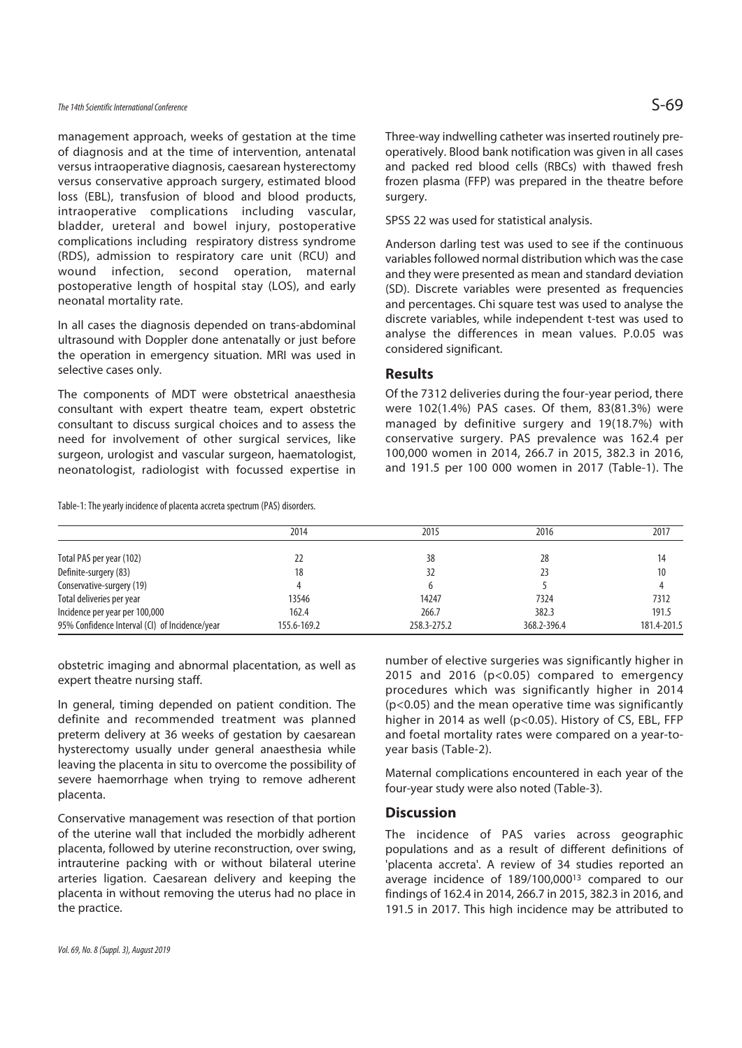### The 14th Scientific International Conference  $\mathsf{S}\text{-}\mathsf{69}$

management approach, weeks of gestation at the time of diagnosis and at the time of intervention, antenatal versus intraoperative diagnosis, caesarean hysterectomy versus conservative approach surgery, estimated blood loss (EBL), transfusion of blood and blood products, intraoperative complications including vascular, bladder, ureteral and bowel injury, postoperative complications including respiratory distress syndrome (RDS), admission to respiratory care unit (RCU) and wound infection, second operation, maternal postoperative length of hospital stay (LOS), and early neonatal mortality rate.

In all cases the diagnosis depended on trans-abdominal ultrasound with Doppler done antenatally or just before the operation in emergency situation. MRI was used in selective cases only.

The components of MDT were obstetrical anaesthesia consultant with expert theatre team, expert obstetric consultant to discuss surgical choices and to assess the need for involvement of other surgical services, like surgeon, urologist and vascular surgeon, haematologist, neonatologist, radiologist with focussed expertise in

Table-1: The yearly incidence of placenta accreta spectrum (PAS) disorders.

Three-way indwelling catheter was inserted routinely preoperatively. Blood bank notification was given in all cases and packed red blood cells (RBCs) with thawed fresh frozen plasma (FFP) was prepared in the theatre before surgery.

SPSS 22 was used for statistical analysis.

Anderson darling test was used to see if the continuous variables followed normal distribution which was the case and they were presented as mean and standard deviation (SD). Discrete variables were presented as frequencies and percentages. Chi square test was used to analyse the discrete variables, while independent t-test was used to analyse the differences in mean values. P.0.05 was considered significant.

#### **Results**

Of the 7312 deliveries during the four-year period, there were 102(1.4%) PAS cases. Of them, 83(81.3%) were managed by definitive surgery and 19(18.7%) with conservative surgery. PAS prevalence was 162.4 per 100,000 women in 2014, 266.7 in 2015, 382.3 in 2016, and 191.5 per 100 000 women in 2017 (Table-1). The

|                                                | 2014        | 2015        | 2016        | 2017        |
|------------------------------------------------|-------------|-------------|-------------|-------------|
|                                                |             |             |             |             |
| Total PAS per year (102)                       | 22          | 38          | 28          | 14          |
| Definite-surgery (83)                          | 18          | 32          | 23          | 10          |
| Conservative-surgery (19)                      |             |             |             |             |
| Total deliveries per year                      | 13546       | 14247       | 7324        | 7312        |
| Incidence per year per 100,000                 | 162.4       | 266.7       | 382.3       | 191.5       |
| 95% Confidence Interval (CI) of Incidence/year | 155.6-169.2 | 258.3-275.2 | 368.2-396.4 | 181.4-201.5 |

obstetric imaging and abnormal placentation, as well as expert theatre nursing staff.

In general, timing depended on patient condition. The definite and recommended treatment was planned preterm delivery at 36 weeks of gestation by caesarean hysterectomy usually under general anaesthesia while leaving the placenta in situ to overcome the possibility of severe haemorrhage when trying to remove adherent placenta.

Conservative management was resection of that portion of the uterine wall that included the morbidly adherent placenta, followed by uterine reconstruction, over swing, intrauterine packing with or without bilateral uterine arteries ligation. Caesarean delivery and keeping the placenta in without removing the uterus had no place in the practice.

number of elective surgeries was significantly higher in 2015 and 2016 (p<0.05) compared to emergency procedures which was significantly higher in 2014 (p<0.05) and the mean operative time was significantly higher in 2014 as well (p<0.05). History of CS, EBL, FFP and foetal mortality rates were compared on a year-toyear basis (Table-2).

Maternal complications encountered in each year of the four-year study were also noted (Table-3).

#### **Discussion**

The incidence of PAS varies across geographic populations and as a result of different definitions of 'placenta accreta'. A review of 34 studies reported an average incidence of 189/100,00013 compared to our findings of 162.4 in 2014, 266.7 in 2015, 382.3 in 2016, and 191.5 in 2017. This high incidence may be attributed to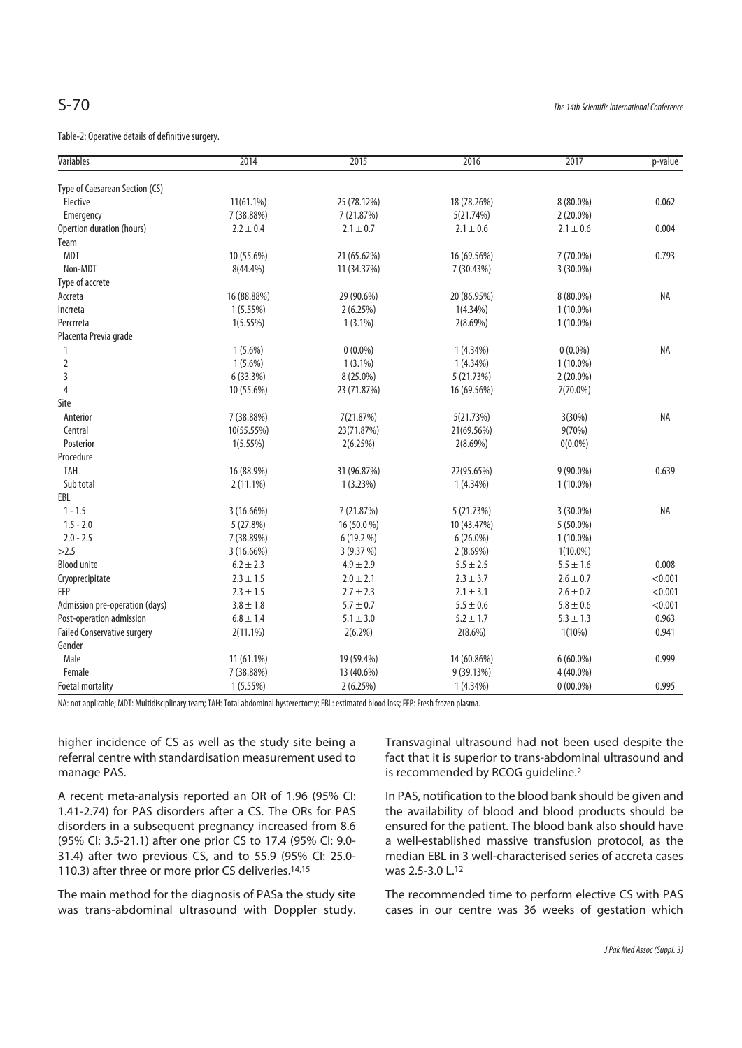Table-2: Operative details of definitive surgery.

| <b>Variables</b>                   | 2014          | 2015          | 2016          | 2017          | p-value   |
|------------------------------------|---------------|---------------|---------------|---------------|-----------|
| Type of Caesarean Section (CS)     |               |               |               |               |           |
| Elective                           | 11(61.1%)     | 25 (78.12%)   | 18 (78.26%)   | 8 (80.0%)     | 0.062     |
| Emergency                          | 7 (38.88%)    | 7 (21.87%)    | 5(21.74%)     | $2(20.0\%)$   |           |
| Opertion duration (hours)          | $2.2 \pm 0.4$ | $2.1 \pm 0.7$ | $2.1 \pm 0.6$ | $2.1 \pm 0.6$ | 0.004     |
| Team                               |               |               |               |               |           |
| <b>MDT</b>                         | 10 (55.6%)    | 21 (65.62%)   | 16 (69.56%)   | 7 (70.0%)     | 0.793     |
| Non-MDT                            | 8(44.4%)      | 11 (34.37%)   | 7 (30.43%)    | 3 (30.0%)     |           |
| Type of accrete                    |               |               |               |               |           |
| Accreta                            | 16 (88.88%)   | 29 (90.6%)    | 20 (86.95%)   | 8 (80.0%)     | <b>NA</b> |
| Incrreta                           | 1(5.55%)      | 2(6.25%)      | $1(4.34\%)$   | $1(10.0\%)$   |           |
| Percrreta                          | $1(5.55\%)$   | $1(3.1\%)$    | $2(8.69\%)$   | $1(10.0\%)$   |           |
| Placenta Previa grade              |               |               |               |               |           |
| 1                                  | $1(5.6\%)$    | $0(0.0\%)$    | $1(4.34\%)$   | $0(0.0\%)$    | <b>NA</b> |
| $\overline{2}$                     | $1(5.6\%)$    | $1(3.1\%)$    | $1(4.34\%)$   | $1(10.0\%)$   |           |
| 3                                  | 6 (33.3%)     | 8 (25.0%)     | 5 (21.73%)    | $2(20.0\%)$   |           |
| $\overline{4}$                     | 10 (55.6%)    | 23 (71.87%)   | 16 (69.56%)   | $7(70.0\%)$   |           |
| Site                               |               |               |               |               |           |
| Anterior                           | 7 (38.88%)    | 7(21.87%)     | 5(21.73%)     | 3(30%)        | <b>NA</b> |
| Central                            | 10(55.55%)    | 23(71.87%)    | 21(69.56%)    | 9(70%)        |           |
| Posterior                          | 1(5.55%)      | 2(6.25%)      | 2(8.69%)      | $0(0.0\%)$    |           |
| Procedure                          |               |               |               |               |           |
| TAH                                | 16 (88.9%)    | 31 (96.87%)   | 22(95.65%)    | 9 (90.0%)     | 0.639     |
| Sub total                          | $2(11.1\%)$   | 1(3.23%)      | $1(4.34\%)$   | $1(10.0\%)$   |           |
| EBL                                |               |               |               |               |           |
| $1 - 1.5$                          | 3 (16.66%)    | 7 (21.87%)    | 5 (21.73%)    | 3 (30.0%)     | NA        |
| $1.5 - 2.0$                        | 5(27.8%)      | 16 (50.0 %)   | 10 (43.47%)   | $5(50.0\%)$   |           |
| $2.0 - 2.5$                        | 7 (38.89%)    | 6 (19.2 %)    | $6(26.0\%)$   | $1(10.0\%)$   |           |
| >2.5                               | 3(16.66%)     | 3 (9.37 %)    | $2(8.69\%)$   | $1(10.0\%)$   |           |
| <b>Blood unite</b>                 | $6.2 \pm 2.3$ | $4.9 \pm 2.9$ | $5.5 \pm 2.5$ | $5.5 \pm 1.6$ | 0.008     |
| Cryoprecipitate                    | $2.3 \pm 1.5$ | $2.0 \pm 2.1$ | $2.3 \pm 3.7$ | $2.6 \pm 0.7$ | < 0.001   |
| <b>FFP</b>                         | $2.3 \pm 1.5$ | $2.7 \pm 2.3$ | $2.1 \pm 3.1$ | $2.6 \pm 0.7$ | < 0.001   |
| Admission pre-operation (days)     | $3.8 \pm 1.8$ | $5.7 \pm 0.7$ | $5.5 \pm 0.6$ | $5.8 \pm 0.6$ | < 0.001   |
| Post-operation admission           | $6.8 \pm 1.4$ | $5.1 \pm 3.0$ | $5.2 \pm 1.7$ | $5.3 \pm 1.3$ | 0.963     |
| <b>Failed Conservative surgery</b> | $2(11.1\%)$   | $2(6.2\%)$    | $2(8.6\%)$    | $1(10\%)$     | 0.941     |
| Gender                             |               |               |               |               |           |
| Male                               | 11 (61.1%)    | 19 (59.4%)    | 14 (60.86%)   | $6(60.0\%)$   | 0.999     |
| Female                             | 7 (38.88%)    | 13 (40.6%)    | 9 (39.13%)    | 4 (40.0%)     |           |
| <b>Foetal mortality</b>            | 1(5.55%)      | 2(6.25%)      | $1(4.34\%)$   | $0(00.0\%)$   | 0.995     |

NA: not applicable; MDT: Multidisciplinary team; TAH: Total abdominal hysterectomy; EBL: estimated blood loss; FFP: Fresh frozen plasma.

higher incidence of CS as well as the study site being a referral centre with standardisation measurement used to manage PAS.

A recent meta-analysis reported an OR of 1.96 (95% CI: 1.41-2.74) for PAS disorders after a CS. The ORs for PAS disorders in a subsequent pregnancy increased from 8.6 (95% CI: 3.5-21.1) after one prior CS to 17.4 (95% CI: 9.0- 31.4) after two previous CS, and to 55.9 (95% CI: 25.0- 110.3) after three or more prior CS deliveries.<sup>14,15</sup>

The main method for the diagnosis of PASa the study site was trans-abdominal ultrasound with Doppler study. Transvaginal ultrasound had not been used despite the fact that it is superior to trans-abdominal ultrasound and is recommended by RCOG guideline.2

In PAS, notification to the blood bank should be given and the availability of blood and blood products should be ensured for the patient. The blood bank also should have a well-established massive transfusion protocol, as the median EBL in 3 well-characterised series of accreta cases was 2.5-3.0 L.12

The recommended time to perform elective CS with PAS cases in our centre was 36 weeks of gestation which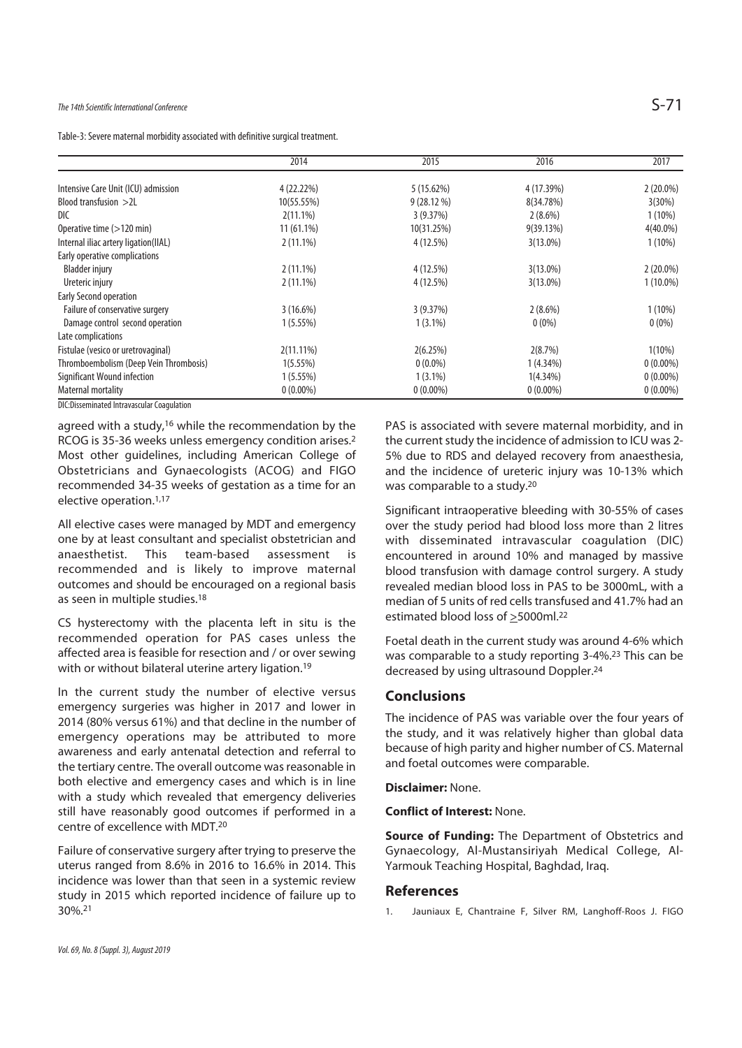Table-3: Severe maternal morbidity associated with definitive surgical treatment.

|                                            | 2014         | 2015        | 2016        | 2017        |
|--------------------------------------------|--------------|-------------|-------------|-------------|
| Intensive Care Unit (ICU) admission        | 4 (22.22%)   | 5(15.62%)   | 4 (17.39%)  | $2(20.0\%)$ |
| Blood transfusion $>2L$                    | 10(55.55%)   | 9(28.12%)   | 8(34.78%)   | 3(30%)      |
| DIC                                        | $2(11.1\%)$  | 3(9.37%)    | $2(8.6\%)$  | $1(10\%)$   |
| Operative time (>120 min)                  | $11(61.1\%)$ | 10(31.25%)  | 9(39.13%)   | $4(40.0\%)$ |
| Internal iliac artery ligation(IIAL)       | $2(11.1\%)$  | 4 (12.5%)   | $3(13.0\%)$ | $1(10\%)$   |
| Early operative complications              |              |             |             |             |
| Bladder injury                             | $2(11.1\%)$  | 4 (12.5%)   | $3(13.0\%)$ | $2(20.0\%)$ |
| Ureteric injury                            | $2(11.1\%)$  | 4 (12.5%)   | $3(13.0\%)$ | $1(10.0\%)$ |
| <b>Early Second operation</b>              |              |             |             |             |
| Failure of conservative surgery            | 3(16.6%)     | 3(9.37%)    | $2(8.6\%)$  | $1(10\%)$   |
| Damage control second operation            | 1(5.55%)     | $1(3.1\%)$  | $0(0\%)$    | $0(0\%)$    |
| Late complications                         |              |             |             |             |
| Fistulae (vesico or uretrovaginal)         | $2(11.11\%)$ | 2(6.25%)    | 2(8.7%)     | $1(10\%)$   |
| Thromboembolism (Deep Vein Thrombosis)     | 1(5.55%)     | $0(0.0\%)$  | 1(4.34%)    | $0(0.00\%)$ |
| Significant Wound infection                | 1(5.55%)     | $1(3.1\%)$  | 1(4.34%)    | $0(0.00\%)$ |
| Maternal mortality                         | $0(0.00\%)$  | $0(0.00\%)$ | $0(0.00\%)$ | $0(0.00\%)$ |
| DIC Discominated Intravaccular Conculation |              |             |             |             |

DIC:Disseminated Intravascular Coagulation

agreed with a study,<sup>16</sup> while the recommendation by the RCOG is 35-36 weeks unless emergency condition arises.2 Most other guidelines, including American College of Obstetricians and Gynaecologists (ACOG) and FIGO recommended 34-35 weeks of gestation as a time for an elective operation.<sup>1,17</sup>

All elective cases were managed by MDT and emergency one by at least consultant and specialist obstetrician and<br>anaesthetist. This team-based assessment is anaesthetist. This team-based assessment is recommended and is likely to improve maternal outcomes and should be encouraged on a regional basis as seen in multiple studies.18

CS hysterectomy with the placenta left in situ is the recommended operation for PAS cases unless the affected area is feasible for resection and / or over sewing with or without bilateral uterine artery ligation.<sup>19</sup>

In the current study the number of elective versus emergency surgeries was higher in 2017 and lower in 2014 (80% versus 61%) and that decline in the number of emergency operations may be attributed to more awareness and early antenatal detection and referral to the tertiary centre. The overall outcome was reasonable in both elective and emergency cases and which is in line with a study which revealed that emergency deliveries still have reasonably good outcomes if performed in a centre of excellence with MDT.20

Failure of conservative surgery after trying to preserve the uterus ranged from 8.6% in 2016 to 16.6% in 2014. This incidence was lower than that seen in a systemic review study in 2015 which reported incidence of failure up to 30%.21

PAS is associated with severe maternal morbidity, and in the current study the incidence of admission to ICU was 2- 5% due to RDS and delayed recovery from anaesthesia, and the incidence of ureteric injury was 10-13% which was comparable to a study.20

Significant intraoperative bleeding with 30-55% of cases over the study period had blood loss more than 2 litres with disseminated intravascular coagulation (DIC) encountered in around 10% and managed by massive blood transfusion with damage control surgery. A study revealed median blood loss in PAS to be 3000mL, with a median of 5 units of red cells transfused and 41.7% had an estimated blood loss of  $\geq$  5000ml.<sup>22</sup>

Foetal death in the current study was around 4-6% which was comparable to a study reporting 3-4%.<sup>23</sup> This can be decreased by using ultrasound Doppler.24

#### **Conclusions**

The incidence of PAS was variable over the four years of the study, and it was relatively higher than global data because of high parity and higher number of CS. Maternal and foetal outcomes were comparable.

#### **Disclaimer:** None.

#### **Conflict of Interest:** None.

**Source of Funding:** The Department of Obstetrics and Gynaecology, Al-Mustansiriyah Medical College, Al-Yarmouk Teaching Hospital, Baghdad, Iraq.

#### **References**

1. Jauniaux E, Chantraine F, Silver RM, Langhoff-Roos J. FIGO